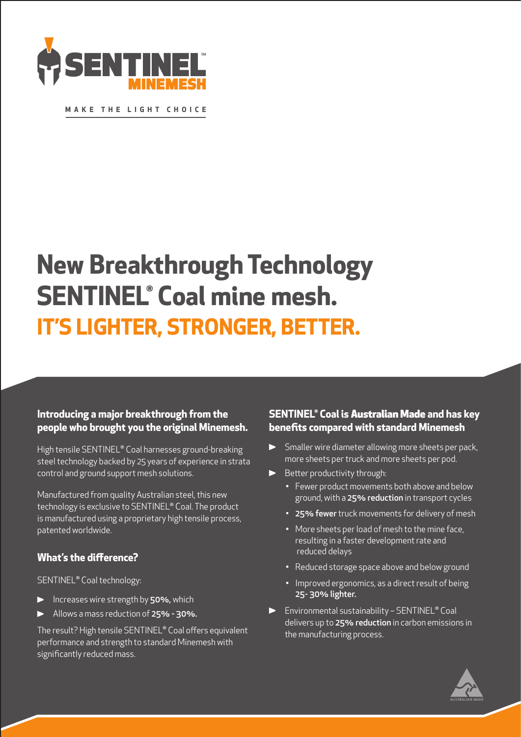

**MAKE THE LIGHT CHOICE**

# **New Breakthrough Technology SENTINEL® Coal mine mesh. IT'S LIGHTER, STRONGER, BETTER.**

# **Introducing a major breakthrough from the people who brought you the original Minemesh.**

High tensile SENTINEL® Coal harnesses ground-breaking steel technology backed by 25 years of experience in strata control and ground support mesh solutions.

Manufactured from quality Australian steel, this new technology is exclusive to SENTINEL® Coal. The product is manufactured using a proprietary high tensile process, patented worldwide.

# **What's the difference?**

## SENTINEL® Coal technology:

- **Increases wire strength by 50%, which**
- Allows a mass reduction of 25% 30%.

The result? High tensile SENTINEL® Coal offers equivalent performance and strength to standard Minemesh with significantly reduced mass.

# **SENTINEL® Coal is** Australian Made **and has key benefits compared with standard Minemesh**

- Smaller wire diameter allowing more sheets per pack, more sheets per truck and more sheets per pod.
- **•** Better productivity through:
	- Fewer product movements both above and below ground, with a 25% reduction in transport cycles
	- 25% fewer truck movements for delivery of mesh
	- More sheets per load of mesh to the mine face, resulting in a faster development rate and reduced delays
	- Reduced storage space above and below ground
	- Improved ergonomics, as a direct result of being 25- 30% lighter.
- Environmental sustainability SENTINEL® Coal delivers up to 25% reduction in carbon emissions in the manufacturing process.